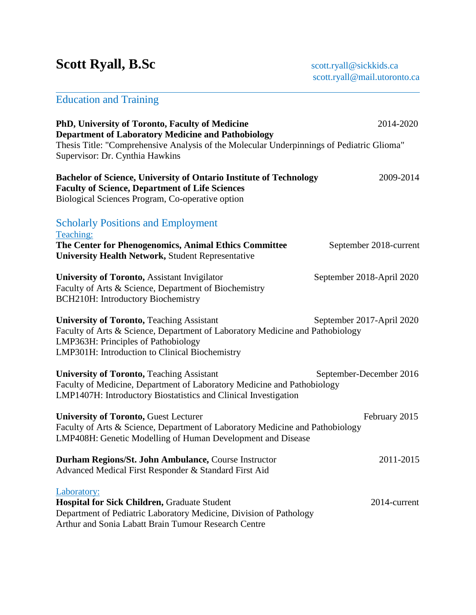# Scott Ryall, B.Sc **Scott.ryall@sickkids.ca**

# Education and Training

| PhD, University of Toronto, Faculty of Medicine<br><b>Department of Laboratory Medicine and Pathobiology</b>                                                                                                               | 2014-2020                 |
|----------------------------------------------------------------------------------------------------------------------------------------------------------------------------------------------------------------------------|---------------------------|
| Thesis Title: "Comprehensive Analysis of the Molecular Underpinnings of Pediatric Glioma"<br>Supervisor: Dr. Cynthia Hawkins                                                                                               |                           |
| <b>Bachelor of Science, University of Ontario Institute of Technology</b><br><b>Faculty of Science, Department of Life Sciences</b><br>Biological Sciences Program, Co-operative option                                    | 2009-2014                 |
| <b>Scholarly Positions and Employment</b><br>Teaching:                                                                                                                                                                     |                           |
| The Center for Phenogenomics, Animal Ethics Committee<br><b>University Health Network, Student Representative</b>                                                                                                          | September 2018-current    |
| <b>University of Toronto, Assistant Invigilator</b><br>Faculty of Arts & Science, Department of Biochemistry<br><b>BCH210H: Introductory Biochemistry</b>                                                                  | September 2018-April 2020 |
| <b>University of Toronto, Teaching Assistant</b><br>Faculty of Arts & Science, Department of Laboratory Medicine and Pathobiology<br>LMP363H: Principles of Pathobiology<br>LMP301H: Introduction to Clinical Biochemistry | September 2017-April 2020 |
| <b>University of Toronto, Teaching Assistant</b><br>Faculty of Medicine, Department of Laboratory Medicine and Pathobiology<br>LMP1407H: Introductory Biostatistics and Clinical Investigation                             | September-December 2016   |
| <b>University of Toronto, Guest Lecturer</b><br>Faculty of Arts & Science, Department of Laboratory Medicine and Pathobiology<br>LMP408H: Genetic Modelling of Human Development and Disease                               | February 2015             |
| Durham Regions/St. John Ambulance, Course Instructor<br>Advanced Medical First Responder & Standard First Aid                                                                                                              | 2011-2015                 |
| Laboratory:<br>Hospital for Sick Children, Graduate Student<br>Department of Pediatric Laboratory Medicine, Division of Pathology<br>Arthur and Sonia Labatt Brain Tumour Research Centre                                  | 2014-current              |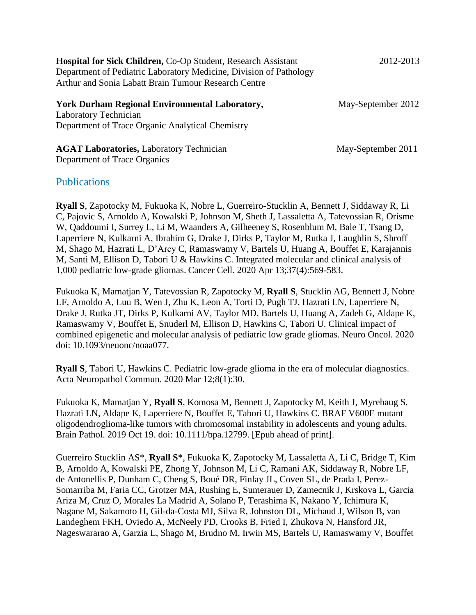| <b>Hospital for Sick Children, Co-Op Student, Research Assistant</b> | 2012-2013          |
|----------------------------------------------------------------------|--------------------|
| Department of Pediatric Laboratory Medicine, Division of Pathology   |                    |
| Arthur and Sonia Labatt Brain Tumour Research Centre                 |                    |
| <b>York Durham Regional Environmental Laboratory,</b>                | May-September 2012 |
| <b>Laboratory Technician</b>                                         |                    |
| Department of Trace Organic Analytical Chemistry                     |                    |

**AGAT Laboratories, Laboratory Technician May-September 2011** Department of Trace Organics

#### **Publications**

**Ryall S**, Zapotocky M, Fukuoka K, Nobre L, Guerreiro-Stucklin A, Bennett J, Siddaway R, Li C, Pajovic S, Arnoldo A, Kowalski P, Johnson M, Sheth J, Lassaletta A, Tatevossian R, Orisme W, Qaddoumi I, Surrey L, Li M, Waanders A, Gilheeney S, Rosenblum M, Bale T, Tsang D, Laperriere N, Kulkarni A, Ibrahim G, Drake J, Dirks P, Taylor M, Rutka J, Laughlin S, Shroff M, Shago M, Hazrati L, D'Arcy C, Ramaswamy V, Bartels U, Huang A, Bouffet E, Karajannis M, Santi M, Ellison D, Tabori U & Hawkins C. Integrated molecular and clinical analysis of 1,000 pediatric low-grade gliomas. Cancer Cell. 2020 Apr 13;37(4):569-583.

Fukuoka K, Mamatjan Y, Tatevossian R, Zapotocky M, **Ryall S**, Stucklin AG, Bennett J, Nobre LF, Arnoldo A, Luu B, Wen J, Zhu K, Leon A, Torti D, Pugh TJ, Hazrati LN, Laperriere N, Drake J, Rutka JT, Dirks P, Kulkarni AV, Taylor MD, Bartels U, Huang A, Zadeh G, Aldape K, Ramaswamy V, Bouffet E, Snuderl M, Ellison D, Hawkins C, Tabori U. Clinical impact of combined epigenetic and molecular analysis of pediatric low grade gliomas. Neuro Oncol. 2020 doi: 10.1093/neuonc/noaa077.

**Ryall S**, Tabori U, Hawkins C. Pediatric low-grade glioma in the era of molecular diagnostics. Acta Neuropathol Commun. 2020 Mar 12;8(1):30.

Fukuoka K, Mamatjan Y, **Ryall S**, Komosa M, Bennett J, Zapotocky M, Keith J, Myrehaug S, Hazrati LN, Aldape K, Laperriere N, Bouffet E, Tabori U, Hawkins C. BRAF V600E mutant oligodendroglioma-like tumors with chromosomal instability in adolescents and young adults. Brain Pathol. 2019 Oct 19. doi: 10.1111/bpa.12799. [Epub ahead of print].

Guerreiro Stucklin AS\*, **Ryall S**\*, Fukuoka K, Zapotocky M, Lassaletta A, Li C, Bridge T, Kim B, Arnoldo A, Kowalski PE, Zhong Y, Johnson M, Li C, Ramani AK, Siddaway R, Nobre LF, de Antonellis P, Dunham C, Cheng S, Boué DR, Finlay JL, Coven SL, de Prada I, Perez-Somarriba M, Faria CC, Grotzer MA, Rushing E, Sumerauer D, Zamecnik J, Krskova L, Garcia Ariza M, Cruz O, Morales La Madrid A, Solano P, Terashima K, Nakano Y, Ichimura K, Nagane M, Sakamoto H, Gil-da-Costa MJ, Silva R, Johnston DL, Michaud J, Wilson B, van Landeghem FKH, Oviedo A, McNeely PD, Crooks B, Fried I, Zhukova N, Hansford JR, Nageswararao A, Garzia L, Shago M, Brudno M, Irwin MS, Bartels U, Ramaswamy V, Bouffet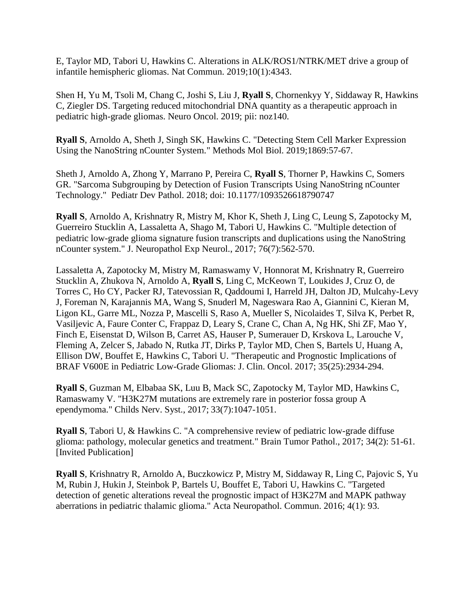E, Taylor MD, Tabori U, Hawkins C. Alterations in ALK/ROS1/NTRK/MET drive a group of infantile hemispheric gliomas. Nat Commun. 2019;10(1):4343.

Shen H, Yu M, Tsoli M, Chang C, Joshi S, Liu J, **Ryall S**, Chornenkyy Y, Siddaway R, Hawkins C, Ziegler DS. Targeting reduced mitochondrial DNA quantity as a therapeutic approach in pediatric high-grade gliomas. Neuro Oncol. 2019; pii: noz140.

**Ryall S**, Arnoldo A, Sheth J, Singh SK, Hawkins C. "Detecting Stem Cell Marker Expression Using the NanoString nCounter System." Methods Mol Biol. 2019;1869:57-67.

Sheth J, Arnoldo A, Zhong Y, Marrano P, Pereira C, **Ryall S**, Thorner P, Hawkins C, Somers GR. "Sarcoma Subgrouping by Detection of Fusion Transcripts Using NanoString nCounter Technology." Pediatr Dev Pathol. 2018; doi: 10.1177/1093526618790747

**Ryall S**, Arnoldo A, Krishnatry R, Mistry M, Khor K, Sheth J, Ling C, Leung S, Zapotocky M, Guerreiro Stucklin A, Lassaletta A, Shago M, Tabori U, Hawkins C. "Multiple detection of pediatric low-grade glioma signature fusion transcripts and duplications using the NanoString nCounter system." J. Neuropathol Exp Neurol., 2017; 76(7):562-570.

Lassaletta A, Zapotocky M, Mistry M, Ramaswamy V, Honnorat M, Krishnatry R, Guerreiro Stucklin A, Zhukova N, Arnoldo A, **Ryall S**, Ling C, McKeown T, Loukides J, Cruz O, de Torres C, Ho CY, Packer RJ, Tatevossian R, Qaddoumi I, Harreld JH, Dalton JD, Mulcahy-Levy J, Foreman N, Karajannis MA, Wang S, Snuderl M, Nageswara Rao A, Giannini C, Kieran M, Ligon KL, Garre ML, Nozza P, Mascelli S, Raso A, Mueller S, Nicolaides T, Silva K, Perbet R, Vasiljevic A, Faure Conter C, Frappaz D, Leary S, Crane C, Chan A, Ng HK, Shi ZF, Mao Y, Finch E, Eisenstat D, Wilson B, Carret AS, Hauser P, Sumerauer D, Krskova L, Larouche V, Fleming A, Zelcer S, Jabado N, Rutka JT, Dirks P, Taylor MD, Chen S, Bartels U, Huang A, Ellison DW, Bouffet E, Hawkins C, Tabori U. "Therapeutic and Prognostic Implications of BRAF V600E in Pediatric Low-Grade Gliomas: J. Clin. Oncol. 2017; 35(25):2934-294.

**Ryall S**, Guzman M, Elbabaa SK, Luu B, Mack SC, Zapotocky M, Taylor MD, Hawkins C, Ramaswamy V. "H3K27M mutations are extremely rare in posterior fossa group A ependymoma." Childs Nerv. Syst., 2017; 33(7):1047-1051.

**Ryall S**, Tabori U, & Hawkins C. "A comprehensive review of pediatric low-grade diffuse glioma: pathology, molecular genetics and treatment." Brain Tumor Pathol., 2017; 34(2): 51-61. [Invited Publication]

**Ryall S**, Krishnatry R, Arnoldo A, Buczkowicz P, Mistry M, Siddaway R, Ling C, Pajovic S, Yu M, Rubin J, Hukin J, Steinbok P, Bartels U, Bouffet E, Tabori U, Hawkins C. "Targeted detection of genetic alterations reveal the prognostic impact of H3K27M and MAPK pathway aberrations in pediatric thalamic glioma." Acta Neuropathol. Commun. 2016; 4(1): 93.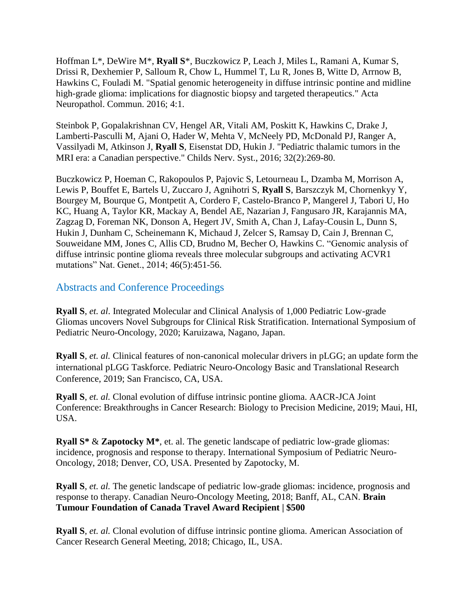Hoffman L\*, DeWire M\*, **Ryall S**\*, Buczkowicz P, Leach J, Miles L, Ramani A, Kumar S, Drissi R, Dexhemier P, Salloum R, Chow L, Hummel T, Lu R, Jones B, Witte D, Arrnow B, Hawkins C, Fouladi M. "Spatial genomic heterogeneity in diffuse intrinsic pontine and midline high-grade glioma: implications for diagnostic biopsy and targeted therapeutics." Acta Neuropathol. Commun. 2016; 4:1.

Steinbok P, Gopalakrishnan CV, Hengel AR, Vitali AM, Poskitt K, Hawkins C, Drake J, Lamberti-Pasculli M, Ajani O, Hader W, Mehta V, McNeely PD, McDonald PJ, Ranger A, Vassilyadi M, Atkinson J, **Ryall S**, Eisenstat DD, Hukin J. "Pediatric thalamic tumors in the MRI era: a Canadian perspective." Childs Nerv. Syst., 2016; 32(2):269-80.

Buczkowicz P, Hoeman C, Rakopoulos P, Pajovic S, Letourneau L, Dzamba M, Morrison A, Lewis P, Bouffet E, Bartels U, Zuccaro J, Agnihotri S, **Ryall S**, Barszczyk M, Chornenkyy Y, Bourgey M, Bourque G, Montpetit A, Cordero F, Castelo-Branco P, Mangerel J, Tabori U, Ho KC, Huang A, Taylor KR, Mackay A, Bendel AE, Nazarian J, Fangusaro JR, Karajannis MA, Zagzag D, Foreman NK, Donson A, Hegert JV, Smith A, Chan J, Lafay-Cousin L, Dunn S, Hukin J, Dunham C, Scheinemann K, Michaud J, Zelcer S, Ramsay D, Cain J, Brennan C, Souweidane MM, Jones C, Allis CD, Brudno M, Becher O, Hawkins C. "Genomic analysis of diffuse intrinsic pontine glioma reveals three molecular subgroups and activating ACVR1 mutations" Nat. Genet., 2014; 46(5):451-56.

## Abstracts and Conference Proceedings

**Ryall S**, *et. al*. Integrated Molecular and Clinical Analysis of 1,000 Pediatric Low-grade Gliomas uncovers Novel Subgroups for Clinical Risk Stratification. International Symposium of Pediatric Neuro-Oncology, 2020; Karuizawa, Nagano, Japan.

**Ryall S**, *et. al.* Clinical features of non-canonical molecular drivers in pLGG; an update form the international pLGG Taskforce. Pediatric Neuro-Oncology Basic and Translational Research Conference, 2019; San Francisco, CA, USA.

**Ryall S**, *et. al.* Clonal evolution of diffuse intrinsic pontine glioma. AACR-JCA Joint Conference: Breakthroughs in Cancer Research: Biology to Precision Medicine, 2019; Maui, HI, USA.

**Ryall S\*** & **Zapotocky M\***, et. al. The genetic landscape of pediatric low-grade gliomas: incidence, prognosis and response to therapy. International Symposium of Pediatric Neuro-Oncology, 2018; Denver, CO, USA. Presented by Zapotocky, M.

**Ryall S**, *et. al.* The genetic landscape of pediatric low-grade gliomas: incidence, prognosis and response to therapy. Canadian Neuro-Oncology Meeting, 2018; Banff, AL, CAN. **Brain Tumour Foundation of Canada Travel Award Recipient | \$500**

**Ryall S**, *et. al.* Clonal evolution of diffuse intrinsic pontine glioma. American Association of Cancer Research General Meeting, 2018; Chicago, IL, USA.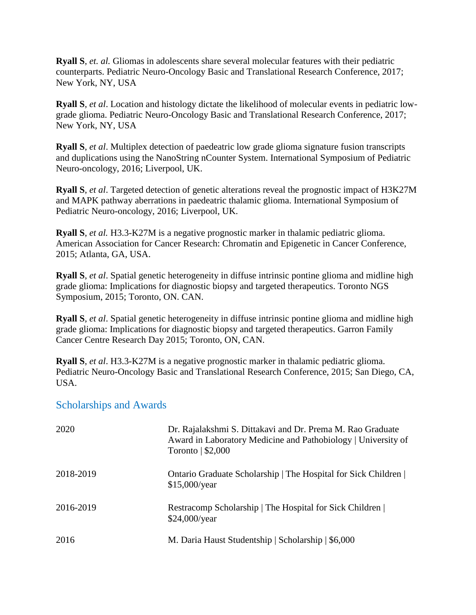**Ryall S**, *et. al.* Gliomas in adolescents share several molecular features with their pediatric counterparts. Pediatric Neuro-Oncology Basic and Translational Research Conference, 2017; New York, NY, USA

**Ryall S**, *et al*. Location and histology dictate the likelihood of molecular events in pediatric lowgrade glioma. Pediatric Neuro-Oncology Basic and Translational Research Conference, 2017; New York, NY, USA

**Ryall S**, *et al*. Multiplex detection of paedeatric low grade glioma signature fusion transcripts and duplications using the NanoString nCounter System. International Symposium of Pediatric Neuro-oncology, 2016; Liverpool, UK.

**Ryall S**, *et al*. Targeted detection of genetic alterations reveal the prognostic impact of H3K27M and MAPK pathway aberrations in paedeatric thalamic glioma. International Symposium of Pediatric Neuro-oncology, 2016; Liverpool, UK.

**Ryall S**, *et al.* H3.3-K27M is a negative prognostic marker in thalamic pediatric glioma. American Association for Cancer Research: Chromatin and Epigenetic in Cancer Conference, 2015; Atlanta, GA, USA.

**Ryall S**, *et al*. Spatial genetic heterogeneity in diffuse intrinsic pontine glioma and midline high grade glioma: Implications for diagnostic biopsy and targeted therapeutics. Toronto NGS Symposium, 2015; Toronto, ON. CAN.

**Ryall S**, *et al*. Spatial genetic heterogeneity in diffuse intrinsic pontine glioma and midline high grade glioma: Implications for diagnostic biopsy and targeted therapeutics. Garron Family Cancer Centre Research Day 2015; Toronto, ON, CAN.

**Ryall S**, *et al*. H3.3-K27M is a negative prognostic marker in thalamic pediatric glioma. Pediatric Neuro-Oncology Basic and Translational Research Conference, 2015; San Diego, CA, USA.

### Scholarships and Awards

| 2020      | Dr. Rajalakshmi S. Dittakavi and Dr. Prema M. Rao Graduate<br>Award in Laboratory Medicine and Pathobiology   University of<br>Toronto $\frac{1}{2}$ ,000 |
|-----------|-----------------------------------------------------------------------------------------------------------------------------------------------------------|
| 2018-2019 | Ontario Graduate Scholarship   The Hospital for Sick Children  <br>\$15,000/year                                                                          |
| 2016-2019 | Restracomp Scholarship   The Hospital for Sick Children  <br>\$24,000/year                                                                                |
| 2016      | M. Daria Haust Studentship   Scholarship   \$6,000                                                                                                        |